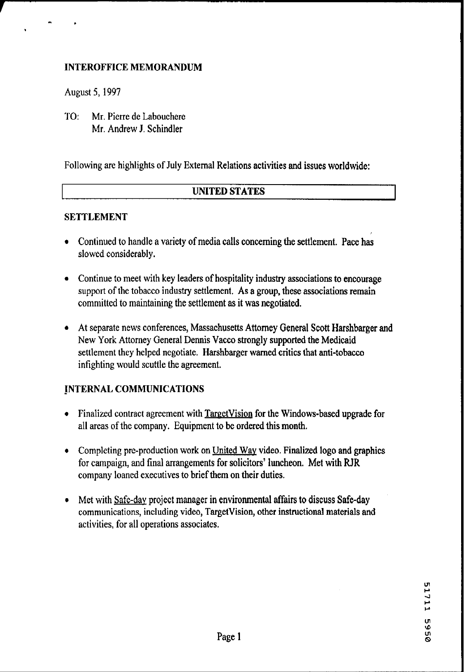### **INTEROFFICE MEMORANDUM**

August **5,1997** 

**<sup>r</sup>**'.

**TO:** Mr. Pierre de Labouchere Mr. Andrew J. Schindler

Following are highlights of July External Relations activities and issues worldwide:

#### I **UNITED STATES**

#### **SETTLEMENT**

- Continued to handle a variety of media calls concerning the settlement. Pace has slowed considerably.
- Continue to meet with key leaders of hospitality industry associations to encourage support of the tobacco industry settlement. As a group, these associations remain committed to maintaining the settlement as it was negotiated.
- At separate news conferences, Massachusetts Attorney General Scott Harshbarger and New York Attorney General Dennis Vacco strongly supported the Medicaid settlement they helped negotiate. Harshbarger warned critics that anti-tobacco infighting would scuttle the agreement.

# **INTERNAL COMMUNICATIONS**

- Finalized contract agreement with TargetVision for the Windows-based upgrade for all areas of the company. Equipment to be ordered this month.
- Completing pre-production work on United Way video. Finalized logo and graphics for campaign, and final arrangements for solicitors' luncheon. Met with RJR company loaned executives to brief them on their duties.
- Met with Safe-day project manager in environmental affairs to discuss Safe-day communications, including video, TargetVision, other instructional materials and activities, for all operations associates.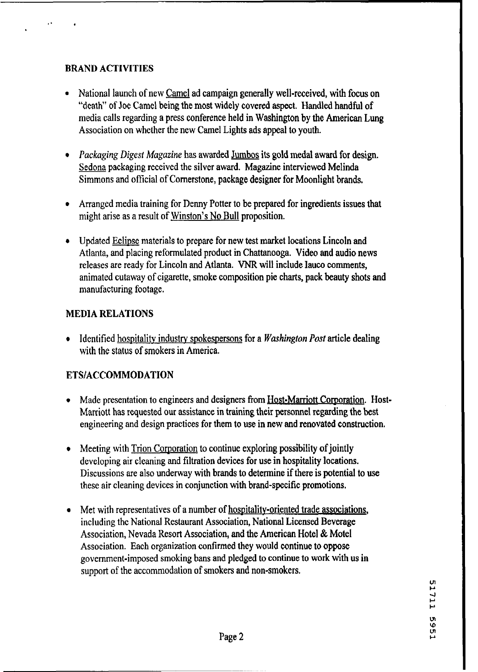#### **BRAND ACTIVITIES**

- National launch of new Camel ad campaign generally well-received, with focus on "death" of Joe Camel being the most widely covered aspect. Handled handful of media calls regarding a press conference held in Washington by the American Lung Association on whether the new Camel Lights ads appeal to youth.
- *Packaging Digest Magazine* has awarded Jumbos its gold medal award for design. Sedona packaging received the silver award. Magazine interviewed Melinda Simmons and official of Cornerstone, package designer for Moonlight brands.
- Arranged media training for Denny Potter to be prepared for ingredients issues that might arise as a result of Winston's No Bull proposition.
- Updated Eclipse materials to prepare for new test market locations Lincoln and Atlanta, and placing reformulated product in Chattanooga. Video and audio news releases are ready for Lincoln and Atlanta. **VNR** will include lauco comments, animated cutaway of cigarette, smoke composition pie charts, pack beauty shots and manufacturing footage.

#### **MEDIA RELATlONS**

Identified hospitality industry spokespersons for a *Washington Post* article dealing with the status of smokers in America.

# **ETSIACCOMMODATION**

- Made presentation to engineers and designers from Host-Marriott Corporation. Host-Marriott has requested our assistance in training their personnel regarding the best engineering and design practices for them to use in new and renovated construction.
- Meeting with Trion Corporation to continue exploring possibility of jointly  $\bullet$ developing air cleaning and filtration devices for use in hospitality locations. Discussions are also underway with brands to determine if there is potential to use these air cleaning devices in conjunction with brand-specific promotions.
- Met with representatives of a number of hospitality-oriented trade associations,  $\bullet$ including the National Restaurant Association, National Licensed Beverage Association, Nevada Resort Association, and the American Hotel & Motel Association. Each organization confirmed they would continue to oppose government-imposed smoking bans and pledged to continue to work with us in support of the accommodation of smokers and non-smokers.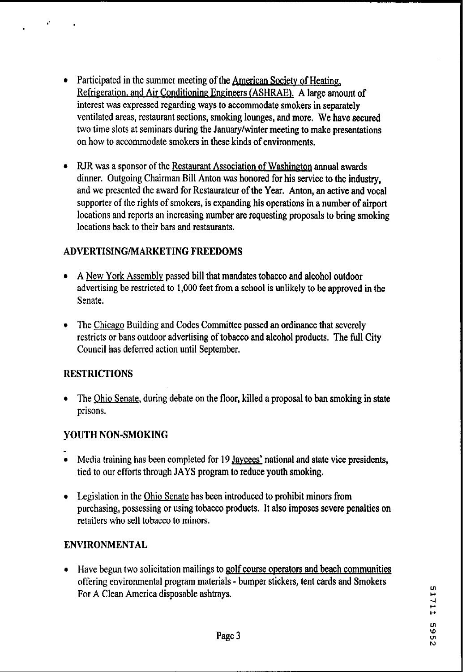- Participated in the summer meeting of the American Society of Heating, Refrigeration, and Air Conditioning Engineers (ASHRAE). A large amount of interest was expressed regarding ways to accommodate smokers in separately ventilated areas, restaurant sections, smoking lounges, and more. We have secured two time slots at seminars during the January/winter meeting to make presentations on how to accommodate smokers in these kinds of environments.
- RJR was a sponsor of the Restaurant Association of Washington annual awards dinner. Outgoing Chairman Bill Anton was honored for his service to the industry, and we presented the award for Restaurateur of the Year. Anton, an active and vocal supporter of the rights of smokers, is expanding his operations in a number of airport locations and reports an increasing number are requesting proposals to bring smoking locations back to their bars and restaurants.

# ADVERTISINGIMARKETING FREEDOMS

- **A** New York Assembly passed bill that mandates tobacco and alcohol outdoor advertising be restricted to 1,000 feet from a school is unlikely to be approved in the Senate.
- The Chicago Building and Codes Committee passed an ordinance that severely restricts or bans outdoor advertising of tobacco and alcohol products. The full City Council has deferred action until September.

# **RESTRICTIONS**

• The Ohio Senate, during debate on the floor, killed a proposal to ban smoking in state prisons.

# YOUTH NON-SMOKING

- **w**Media training has been completed for 19 Jaycees' national and state vice presidents, tied to our efforts through JAYS program to reduce youth smoking.
- Legislation in the Ohio Senate has been introduced to prohibit minors from purchasing, possessing or using tobacco products. It also imposes severe penalties on retailers who sell tobacco to minors.

#### ENVIRONMENTAL

Have begun two solicitation mailings to golf course operators and beach communities offering environmental program materials - bumper stickers, tent cards and Smokers For A Clean America disposable ashtrays.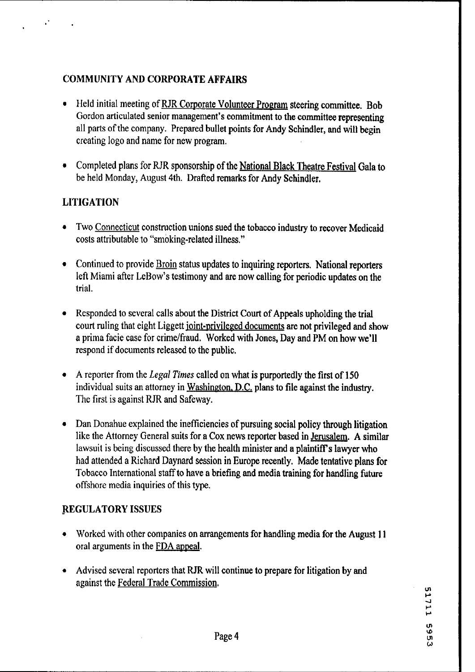# **COMMUNITY AND CORPORATE AFFAIRS**

- Held initial meeting of RJR Corporate Volunteer Program steering committee. Bob Gordon articulated senior management's commitment to the committee representing all parts of the company. Prepared bullet points for Andy Schindler, and will begin creating logo and name for new program.
- Completed plans for RJR sponsorship of the National Black Theatre Festival Gala to be held Monday, August 4th. Drafted remarks for Andy Schindler.

# **LITIGATION**

- Two Connecticut construction unions sued the tobacco industry to recover Medicaid costs attributable to "smoking-related illness."
- Continued to provide **Broin** status updates to inquiring reporters. National reporters left Miami after LeBow's testimony and are now calling for periodic updates on the trial.
- **a** Responded to several calls about the District Court of Appeals upholding the trial court ruling that eight Liggett joint-privileged documents are not privileged and show a prima facie case for crime/fraud. Worked with Jones, Day and PM on how we'll respond if documents released to the public.
- A reporter from the *Legal Times* called on what is purportedly the first of 150 individual suits an attorney in Washineton. D.C. plans to file against the industry. The first is against RJR and Safeway.
- Dan Donahue explained the inefficiencies of pursuing social policy through litigation like the Attorney General suits for a Cox news reporter based in Jerusalem. **A** similar lawsuit is being discussed there by the health minister and a plaintiff's lawyer who had attended a Richard Daynard session in Europe recently. Made tentative plans for Tobacco International staff to have a briefing and media training for handling future offshore media inquiries of this type.

# **REGULATORY** ISSUES

- Worked with other companies on arrangements for handling media for the August 11 oral arguments in the FDA appeal.
- Advised several reporters that RJR will continue to prepare for litigation by and  $\bullet$ against the Federal Trade Commission.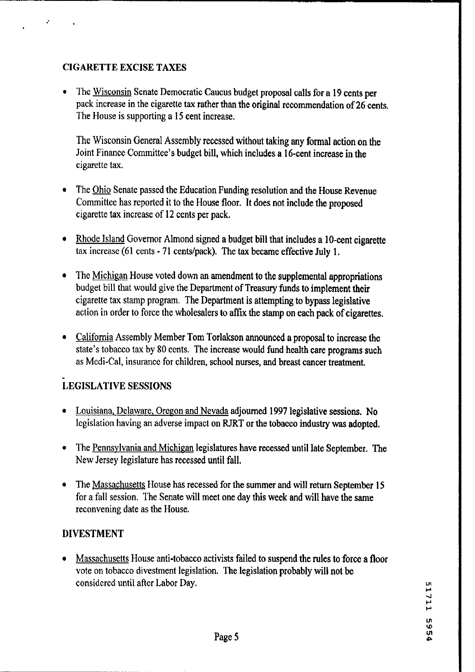# CIGARETTE EXCISE TAXES

The Wisconsin Senate Democratic Caucus budget proposal calls for a 19 cents per pack increase in the cigarette **tax** rather than the original recommendation of 26 cents, The House is supporting a 15 cent increase.

The Wisconsin General Assembly recessed without taking any formal action on the Joint Finance Committee's budget bill, which includes a 16-cent increase in the cigarette tax.

- The *Ohio* Senate passed the Education Funding resolution and the House Revenue Committee has reported it to the House floor. It does not include the proposed cigarette tax increase of 12 cents per pack.
- Rhode Island Governor Almond signed a budget bill that includes a 10-cent cigarette tax increase (61 cents - 71 centslpack). The **tax** became effective July 1.
- $\bullet$ The Michigan House voted down an amendment to the supplemental appropriations budget bill that would give the Department of Treasury funds to implement their cigarette tax stamp program. The Department is attempting to bypass legislative action in order to force the wholesalers to affix the stamp on each pack of cigarettes.
- California Assembly Member Tom Torlakson announced a proposal to increase the state's tobacco tax by 80 cents. The increase would fund health **care** programs such as Medi-Cal, insurance for children, school nurses, and breast cancer treatment.

# **LEGISLATIVE SESSIONS**

- Louisiana. Delaware. Oregon and Nevada adjourned 1997 legislative sessions. No legislation having an adverse impact on RJRT or the tobacco industry **was** adopted.
- The Pennsylvania and Michigan legislatures have recessed until late September. The New Jersey legislature has recessed until fall.
- The Massachusetts House has recessed for the summer and will return September 15 for a fall session. The Senate will meet one day this week and will have the same reconvening date as the House.

# DIVESTMENT

Massachusetts House anti-tobacco activists failed to suspend the rules to force a floor vote on tobacco divestment legislation. The legislation probably will not be considered until after Labor Day.

**F**  4 P P **VI**  'dl **P**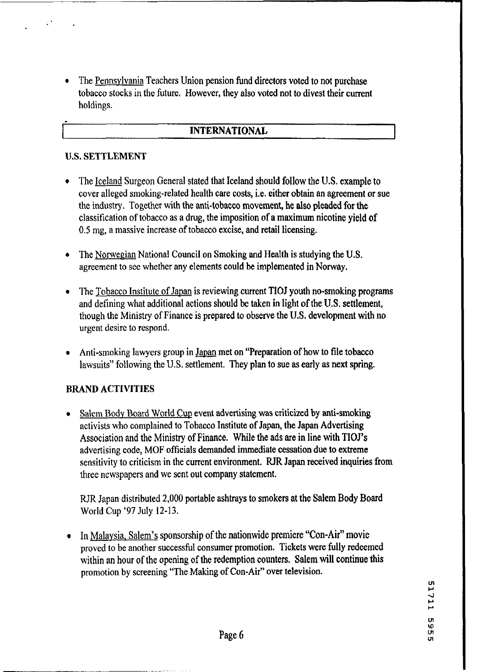The Pennsylvania Teachers Union pension fund directors voted to not purchase tobacco stocks in the future. However, they also voted not to divest their current holdings.

#### **INTERNATIONAL**

#### U.S. SETTLEMENT

- The Iceland Surgeon General stated that Iceland should follow the U.S. example to cover alleged smoking-related health care costs, i.e. either obtain an agreement or sue the industry. Together with the anti-tobacco movement, he also pleaded for the classification of tobacco as a drug, the imposition of a maximum nicotine yield of 0.5 mg, a massive increase of tobacco excise, and retail licensing.
- The Norwegian National Council on Smoking and Health is studying the U.S.  $\bullet$ agreement to see whether any elements could be implemented in Norway.
- The Tobacco Institute of Japan is reviewing current TIOJ youth no-smoking programs  $\bullet$ and defining what additional actions should be taken in light of the **U.S.** settlement, though the Ministry of Finance is prepared to observe the U.S, development **with** no urgent desire to respond.
- Anti-smoking lawyers group in Japan met on "Preparation of how to file tobacco lawsuits" following the U.S. settlement. They plan to sue as early as next spring.

#### BRAND ACTIVITIES

Salem Body Board World Cup event advertising was criticized by anti-smoking activists who complained to Tobacco Institute of Japan, the Japan Advertising Association and the Ministry of Finance. While the ads are in line with TIOJ's advertising code, MOF officials demanded immediate cessation due to extreme sensitivity to criticism in the current environment. **RJR** Japan received inquiries from three newspapers and we sent out company statement.

RJR Japan distributed 2,000 portable ashtrays to smokers at the Salem Body Board World Cup '97 July 12-13.

In Malaysia, Salem's sponsorship of the nationwide premiere "Con-Air" movie proved to be another successful consumer promotion. Tickets were fully redeemed within an hour of the opening of the redemption counters. Salem will continue this promotion by screening "The Making of Con-Air" over television.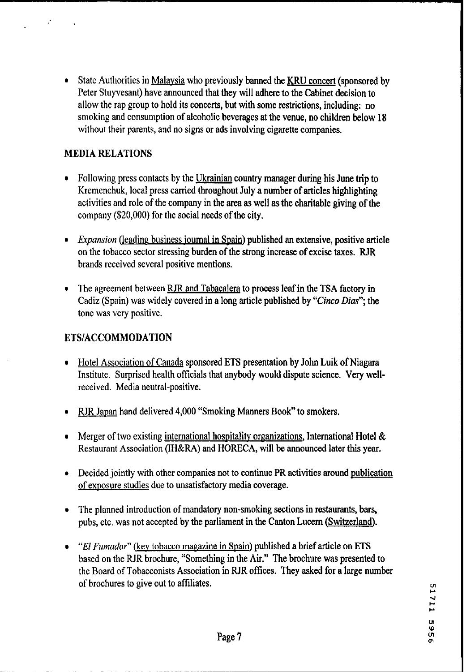State Authorities in Malaysia who previously banned the **KRU** concert (sponsored by Peter Stuyvesant) have announced that they will adhere to the Cabinet decision to allow the rap group to hold its concerts, but with some restrictions, including: no smoking and consumption of alcoholic beverages at the venue, no children below 18 without their parents, and no signs or ads involving cigarette companies.

### MEDIA RELATIONS

- Following press contacts by the Ukrainian country manager during his June trip to Kremenchuk, local press carried throughout July a number of articles highlighting activities and role of the company in the area as well as the charitable giving of the company (\$20,000) for the social needs of the city.
- *Expansion* (leading business journal in Spain) published an extensive, positive article on the tobacco sector stressing burden of the strong increase of excise taxes. RIR brands received several positive mentions.
- The agreement between RJR and Tabacalera to process leaf in the TSA factory in Cadiz (Spain) was widely covered in a long article published by **"Cinco Dias";** the tone was very positive.

# ETSIACCOMMODATION

- Hotel Association of Canada sponsored **ETS** presentation by John Luik of Niagara Institute. Surprised health officials that anybody would dispute science. Very wellreceived. Media neutral-positive.
- RJR Japan hand delivered 4,000 "Smoking Manners Book" to smokers.
- Merger of two existing international hospitality organizations, International Hotel  $\&$ Restaurant Association (IH&RA) and HORECA, will be announced later this year.
- Decided jointly with other companies not to continue PR activities around publication of exposure studies due to unsatisfactory media coverage.
- The planned introduction of mandatory non-smoking sections in restaurants, bars, pubs, etc. was not accepted by the parliament in the Canton Lucern (Switzerland).
- "El *Fumador*" (key tobacco magazine in Spain) published a brief article on ETS based on the RJR brochure, "Something in the Air." The brochure was presented to the Board of Tobacconists Association in RJR ofices. They asked for a large number of brochures to give out to affiliates. **~1**

**C1 4 I-I-01 w**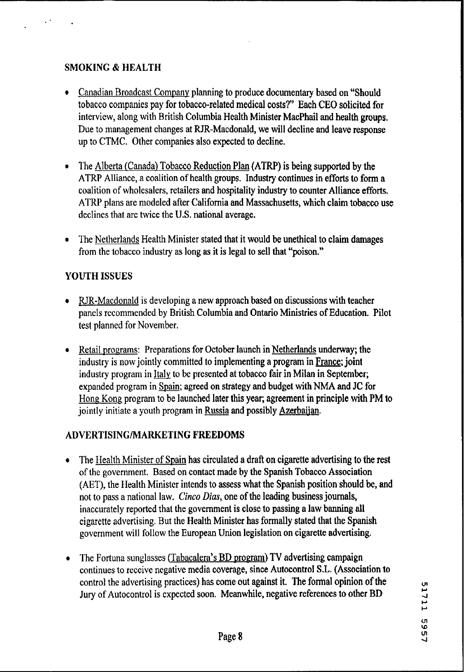# SMOKING & HEALTH

- Canadian Broadcast Company planning to produce documentary based on "Should" tobacco companies pay for tobacco-related medical costs?" Each CEO solicited for interview, along with British Columbia Health Minister MacPhail and health groups. Due to management changes at RJR-Macdonald, we will decline and leave response up to CTMC. Other companies also expected to decline.
- The Alberta (Canada) Tobacco Reduction Plan (ATRP) is being supported by the  $\bullet$ ATRP Alliance, a coalition of health groups. Industy continues in efforts to form a coalition of wholesalers, retailers and hospitality industry to counter Alliance efforts. ATRP plans are modeled after California and Massachusetts, which claim tobacco use declines that are twice the U.S. national average.
- The Netherlands Health Minister stated that it would be unethical to claim damages from the tobacco industry as long as it is legal to sell that "poison."

# YOUTH ISSUES

- **r** RJR-Macdonald is developing a new approach based on discussions with teacher panels recommended by British Columbia and Ontario Ministries of Education. Pilot test planned for November.
- Retail programs: Preparations for October launch in Netherlands underway; the Retail programs: Preparations for October launch in Netherlands underway; the industry is now jointly committed to implementing a program in <u>France</u>; joint industry program in <u>Italy</u> to be presented at tobacco fair in Mi industry program in <u>Italy</u> to be presented at tobacco fair in Milan in September;<br>expanded program in Spain; agreed on strategy and budget with NMA and JC for Hone. Kong program to be launched later this year; agreement in principle **with** PM to jointly initiate a youth program in Russia and possibly Azerbaijan.

# ADVERTISINGMARKETING FREEDOMS

- The Health Minister of Spain has circulated a draft on cigarette advertising to the rest of the government. Based on contact made by the Spanish Tobacco Association (AET), the Health Minister intends to assess what the Spanish position should be, and not to pass a national law. *Cinco Dias,* one of the leading business journals, inaccurately reported that the government is close to passing a law banning all cigarette advertising. But the Health Minister has formally stated that the Spanish government will follow the European Union legislation on cigarette advertising.
- The Fortuna sunglasses (Tabacalera's BD program) TV advertising campaign continues to receive negative media coverage, since Autocontrol S.L. (Association to control the advertising practices) has come out against it. The formal opinion of the Jury of Autocontrol is expected soon. Meanwhile, negative references to other BD

51711 1995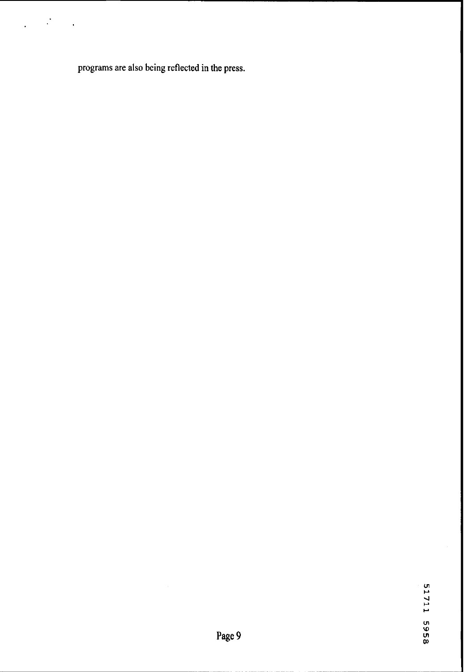**programs are also being reflected in the press.** 

 $\ddot{\cdot}$ 

l,

 $\ddot{\phantom{a}}$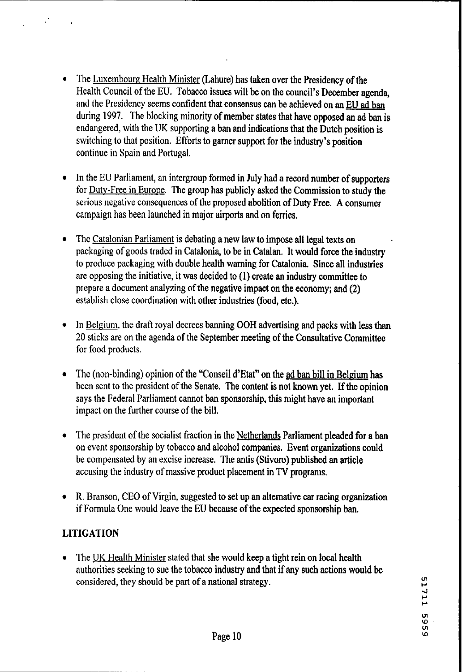- The Luxembourg Health Minister (Lahure) has taken over the Presidency of the Health Council of the EU. Tobacco issues will be on the council's December agenda, and the Presidency seems confident that consensus can be achieved on an EU ad ban during 1997. The blocking minority of member states that have opposed an ad ban is endangered, with the UK supporting a ban and indications that the Dutch position is switching to that position. Efforts to garner support for the industry's position continue in Spain and Portugal.
- In the EU Parliament, an intergroup formed in July had a record number of supporters for Dutv-Free in Europe. The group has publicly asked the Commission to study the serious negative consequences of the proposed abolition of Duty Free. **A** consumer campaign has been launched in major airports and on femes.
- $\bullet$ The Catalonian Parliament is debating a new law to impose all legal texts on packaging of goods traded in Catalonia, to be in Catalan. It would force the industry to produce packaging with double health warning for Catalonia. Since all industries are opposing the initiative, it was decided to (I) create an industry committee to prepare a document analyzing of the negative impact on the economy; and (2) establish close coordination with other industries (food, etc.).
- In Belgium, the draft royal decrees banning OOH advertising and packs with less than 20 sticks are on the agenda of the September meeting of the Consultative Committee for food products.
- The (non-binding) opinion of the "Conseil d'Etat" on the ad ban bill in Belgium has  $\bullet$ been sent to the president of the Senate. The content is not known yet. If the opinion says the Federal Parliament cannot ban sponsorship, this might have an important impact on the further course of the bill.
- The president of the socialist fraction in the Netherlands Parliament pleaded for a ban on event sponsorship by tobacco and alcohol companies. Event organizations could be compensated by an excise increase. The antis (Stivoro) published an article accusing the industry of massive product placement in **TV** programs.
- R. Branson, CEO of Virgin, suggested to set up an alternative car racing organization if Formula One would leave the EU because of the expected sponsorship ban.

# **LITIGATION**

The UK Health Minister stated that she would keep a tight rein on local health authorities seeking to sue the tobacco industry and that if any such actions would be considered, they should be part of a national strategy.

**w 4 w w**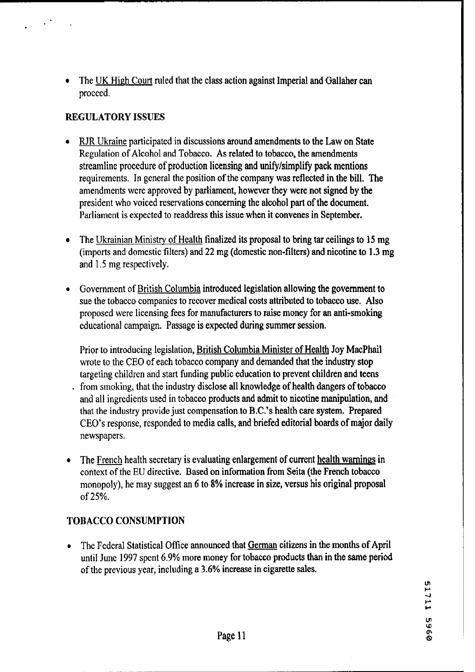**<sup>a</sup>**The UK Hiph Court ruled that the class action against Imperial and Gallaher **can**  proceed.

### **REGULATORY ISSUES**

- RJR Ukraine participated in discussions around amendments to the Law on State Regulation of Alcohol and Tobacco. As related to tobacco, the amendments streamline procedure of production licensing and unifylsimplify pack mentions requirements. In general the position of the company was reflected in the bill. The amendments were approved by parliament, however they were not signed by the president who voiced reservations concerning the alcohol part of the document. Parliament is expected to readdress this issue when it convenes in September.
- The Ukrainian Ministry of Health finalized its proposal to bring tar ceilings to 15 mg (imports and domestic filters) and **22** mg (domestic non-filters) and nicotine to 1.3 mg and **1.5** nig respectively.
- Government of British Columbia introduced legislation allowing the government to  $\bullet$ sue the tobacco companies to recover medical costs attributed to tobacco use. Also proposed were licensing fees for manufacturers to raise money for an anti-smoking educational campaign. Passage is expected during summer session.

Prior to introducing legislation, British Columbia Minister of Health Joy MacPhail wrote to the CEO of each tobacco company and demanded that the industry stop targeting children and start funding public education to prevent children and teens . from smoking, that the industry disclose all knowledge of health dangers of tobacco and all ingredients used in tobacco products and admit to nicotine manipulation, and that the industry provide just compensation to B.C.'s health care system. Prepared CEO's response, responded to media calls, and briefed editorial boards of major daily newspapers.

The French health secretary is evaluating enlargement of current health wamines in  $\bullet$ context of the EU directive. Based on information from Seita (the French tobacco monopoly), he may suggest an 6 to 8% increase in size, versus his original proposal of **25%.** 

# **TOBACCO CONSUMPTION**

The Federal Statistical Ofice announced that German citizens in the months of April until June 1997 spent 6.9% more money for tobacco products than in the same period of the previous year, including a **3.6%** increase in cigarette sales.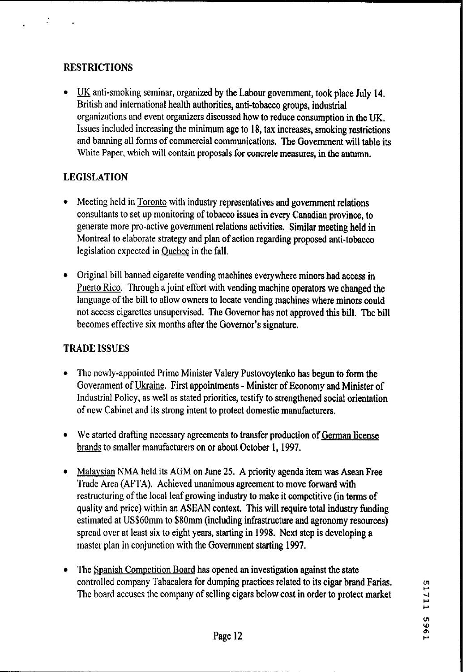# **RESTRICTIONS**

- UK anti-smoking seminar, organized by the Labour government, took place July 14. British and international health authorities, anti-tobacco groups, industrial organizations and event organizers discussed how to reduce consumption in the UK. Issues included increasing the minimum age to 18, tax increases, smoking restrictions and banning all forms of commercial communications. The Government will table its White Paper, which will contain proposals for concrete measures, in the autumn.

# **LEGISLATION**

- Meeting held in **Toronto** with industry representatives and government relations consultants to set up monitoring of tobacco issues in every Canadian province, to generate more pro-active government relations activities. Similar meeting held in Montreal to elaborate strategy and plan of action regarding proposed anti-tobacco legislation expected in Ouebec in the fall.
- Original bill banned cigarette vending machines everywhere minors had access in Puerto Rico. Through a joint effort with vending machine operators we changed the language of the bill to allow owners to locate vending machines where minors could not access cigarettes unsupervised. The Governor has not approved this bill. The bill becomes effective six months after the Governor's signature.

# **TRADE ISSUES**

- The newly-appointed Prime Minister **Valery** Pustovoytenko has begun to form the Government of Ukraine. First appointments - Minister of Economy and Minister of Industrial Policy, as well as stated priorities, testify to strengthened social orientation of new Cabinet and its strong intent to protect domestic manufacturers.
- We started drafting necessary agreements to transfer production of German license brands to smaller manufacturers on or about October 1, 1997.
- Malaysian NMA held its AGM on June 25. A priority agenda item was Asean Free Trade Area (AFTA). Achieved unanimous agreement to move forward with restructuring of the local leaf growing industry to make it competitive (in terms of quality and price) within an ASEAN context. This will require total industry funding estimated at US\$60mm to **\$80mm** (including infrastructure and agronomy resources) spread over at least six to eight years, starting in 1998. Next step is developing a master plan in conjunction with the Government starting 1997.
- The Spanish Competition Board has opened an investigation against the state controlled company Tabacalera for dumping practices related to its cigar brand **Farias.**  The board accuses the company of selling cigars below cost in order to protect market

1711 5961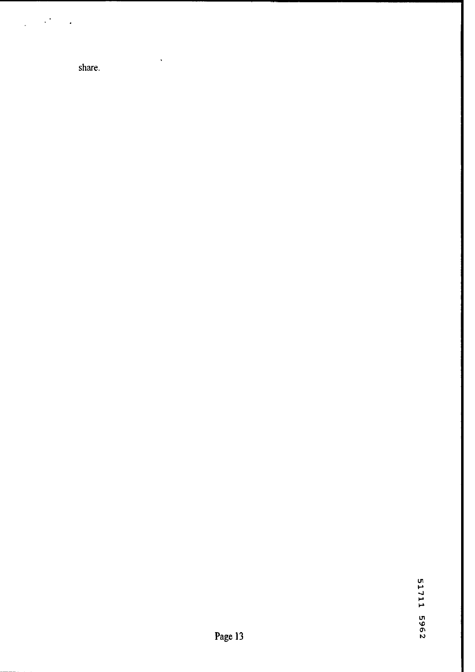share.

 $\ddot{\phantom{0}}$ 

l,  $\cdot$ 

 $\overline{a}$ 

l.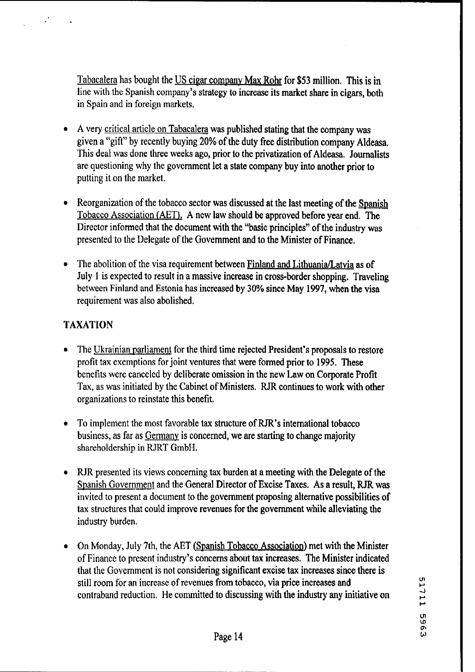Tabacalera has bought the US cigar company Max Rohr for \$53 million. This is in line with the Spanish company's strategy to increase its market share in cigars, both in Spain and in foreign markets.

- **A** very critical article on Tabacalera was published stating that the company was given a "gift" by recently buying 20% of the duty free distribution company Aldeasa. This deal was done three weeks ago, prior to the privatization of Aldeasa. Journalists are questioning why the government let a state company buy into another prior to putting it on the market.
- Reorganization of the tobacco sector was discussed at the last meeting of the Spanish Tobacco Association (AET). A new law should be approved before year end. The Director informed that the document with the "basic principles" of the industry was presented to the Delegate of the Government and to the Minister of Finance.
- The abolition of the visa requirement between Finland and Lithuania/Latvia as of July 1 is expected to result in a massive increase in cross-border shopping. Traveling between Finland and Estonia has increased by **30%** since May 1997, when the visa requirement was also abolished.

### TAXATION

- The Ukrainian parliament for the third time rejected President's proposals to restore profit tax exemptions for joint ventures that were formed prior to 1995. These benefits were canceled by deliberate omission in the new Law on Corporate Profit Tax, as was initiated by the Cabinet of Ministers. RJR continues to work with other organizations to reinstate this benefit.
- To implement the most favorable tax structure of RJR's international tobacco business, as far as Germany is concerned, we are starting to change majority shareholdership in RJRT GmbH.
- RJR presented its views concerning tax burden at a meeting with the Delegate of the Spanish Government and the General Director of Excise Taxes. As a result, RJR was invited to present a document to the government proposing alternative possibilities of tax structures that could improve revenues for the government while alleviating the industry burden.
- On Monday, July 7th, the AET (Spanish Tobacco Association) met with the Minister of Finance to present industry's concerns about tax increases. The Minister indicated that the Government is not considering significant excise **tax** increases since there is still room for an increase of revenues from tobacco, via price increases and contraband reduction. He committed to discussing with the industry any initiative on <sup>4</sup>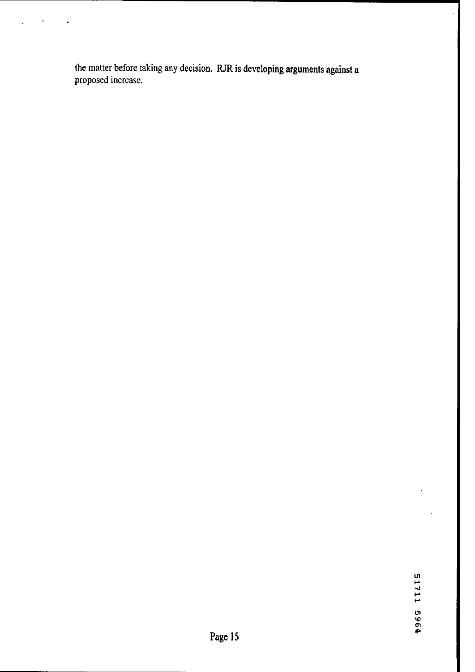**the matter before taking any decision. RJR is developing arguments against a proposed increase.**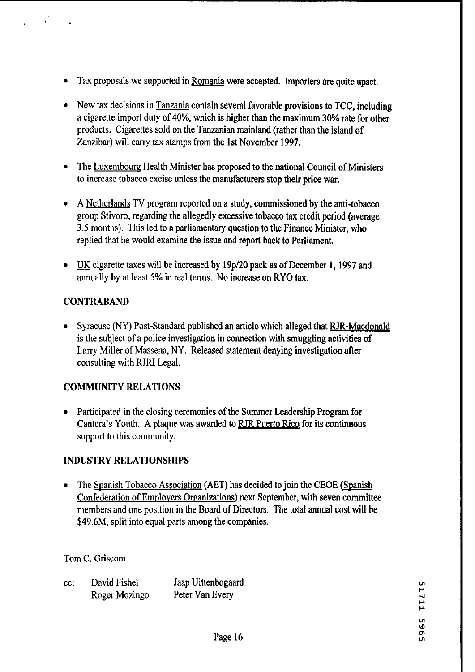- Tax proposals we supported in Romania were accepted. Importers are quite upset.
- New tax decisions in Tanzania contain several favorable provisions to TCC, including a cigarette import duty of **40%,** which is higher than the maximum **30%** rate for other products. Cigarettes sold on the Tanzanian mainland (rather than the island of Zanzibar) will carry tax stamps from the 1 st November **1997.**
- The Luxembourg Health Minister has proposed to the national Council of Ministers to increase tobacco excise unless the manufacturers stop their price war.
- **A** Netherlands TV program reported on a study, commissioned by the anti-tobacco group Stivoro, regarding the allegedly excessive tobacco tax credit period (average 3.5 months). This led to a parliamentary question to the Finance Minister, who replied that he would examine the issue and report back to Parliament.
- <u>UK</u> cigarette taxes will be increased by 19p/20 pack as of December 1, 1997 and annually by at least 5% in real terms. No increase on RYO **tax.**

### **CONTRABAND**

• Syracuse (NY) Post-Standard published an article which alleged that RJR-Macdonald is the subject of a police investigation in connection with smuggling activities of Larry Miller of Massena, NY. Released statement denying investigation after consulting with RJRI Legal.

#### COMMUNITY RELATIONS

• Participated in the closing ceremonies of the Summer Leadership Program for Cantera's Youth. A plaque was awarded to RJR Puerto Rico for its continuous support to this community.

#### INDUSTRY RELATIONSHIPS

The Spanish Tobacco Association (AET) has decided to join the CEOE (Spanish Confederation of Employers Organizations) next September, with seven committee members and one position in the Board of Directors. The total annual cost will be \$49.6M, split into equal parts among the companies.

#### Tom C. Griscom

| cc: | David Fishel  | Jaap Uittenbogaard |
|-----|---------------|--------------------|
|     | Roger Mozingo | Peter Van Every    |